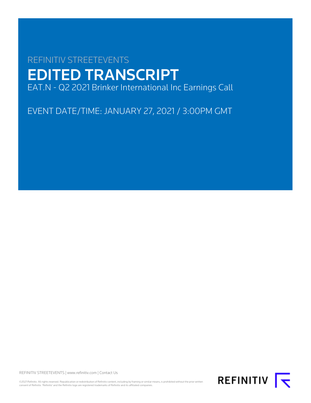# REFINITIV STREETEVENTS EDITED TRANSCRIPT EAT.N - Q2 2021 Brinker International Inc Earnings Call

EVENT DATE/TIME: JANUARY 27, 2021 / 3:00PM GMT

REFINITIV STREETEVENTS | [www.refinitiv.com](https://www.refinitiv.com/) | [Contact Us](https://www.refinitiv.com/en/contact-us)

©2021 Refinitiv. All rights reserved. Republication or redistribution of Refinitiv content, including by framing or similar means, is prohibited without the prior written consent of Refinitiv. 'Refinitiv' and the Refinitiv logo are registered trademarks of Refinitiv and its affiliated companies.

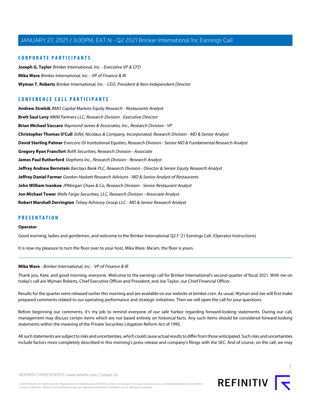## **CORPORATE PARTICIPANTS**

**[Joseph G. Taylor](#page-3-0)** Brinker International, Inc. - Executive VP & CFO **[Mika Ware](#page-1-0)** Brinker International, Inc. - VP of Finance & IR **[Wyman T. Roberts](#page-2-0)** Brinker International, Inc. - CEO, President & Non-Independent Director

# **CONFERENCE CALL PARTICIPANTS**

**[Andrew Strelzik](#page-9-0)** BMO Capital Markets Equity Research - Restaurants Analyst **[Brett Saul Levy](#page-6-0)** MKM Partners LLC, Research Division - Executive Director **[Brian Michael Vaccaro](#page-13-0)** Raymond James & Associates, Inc., Research Division - VP **[Christopher Thomas O'Cull](#page-7-0)** Stifel, Nicolaus & Company, Incorporated, Research Division - MD & Senior Analyst **[David Sterling Palmer](#page-4-0)** Evercore ISI Institutional Equities, Research Division - Senior MD & Fundamental Research Analyst **[Gregory Ryan Francfort](#page-9-1)** BofA Securities, Research Division - Associate **[James Paul Rutherford](#page-5-0)** Stephens Inc., Research Division - Research Analyst **[Jeffrey Andrew Bernstein](#page-16-0)** Barclays Bank PLC, Research Division - Director & Senior Equity Research Analyst **[Jeffrey Daniel Farmer](#page-11-0)** Gordon Haskett Research Advisors - MD & Senior Analyst of Restaurants **[John William Ivankoe](#page-14-0)** JPMorgan Chase & Co, Research Division - Senior Restaurant Analyst **[Jon Michael Tower](#page-17-0)** Wells Fargo Securities, LLC, Research Division - Associate Analyst **[Robert Marshall Derrington](#page-11-1)** Telsey Advisory Group LLC - MD & Senior Research Analyst

# **PRESENTATION**

#### **Operator**

<span id="page-1-0"></span>Good morning, ladies and gentlemen, and welcome to the Brinker International Q2 F '21 Earnings Call. (Operator Instructions)

It is now my pleasure to turn the floor over to your host, Mika Ware. Ma'am, the floor is yours.

#### **Mika Ware** - Brinker International, Inc. - VP of Finance & IR

Thank you, Kate, and good morning, everyone. Welcome to the earnings call for Brinker International's second quarter of fiscal 2021. With me on today's call are Wyman Roberts, Chief Executive Officer and President; and Joe Taylor, our Chief Financial Officer.

Results for the quarter were released earlier this morning and are available on our website at brinker.com. As usual, Wyman and Joe will first make prepared comments related to our operating performance and strategic initiatives. Then we will open the call for your questions.

Before beginning our comments, it's my job to remind everyone of our safe harbor regarding forward-looking statements. During our call, management may discuss certain items which are not based entirely on historical facts. Any such items should be considered forward-looking statements within the meaning of the Private Securities Litigation Reform Act of 1995.

All such statements are subject to risks and uncertainties, which could cause actual results to differ from those anticipated. Such risks and uncertainties include factors more completely described in this morning's press release and company's filings with the SEC. And of course, on the call, we may

©2021 Refinitiv. All rights reserved. Republication or redistribution of Refinitiv content, including by framing or similar means, is prohibited without the prior written consent of Refinitiv. 'Refinitiv' and the Refinitiv logo are registered trademarks of Refinitiv and its affiliated companies.

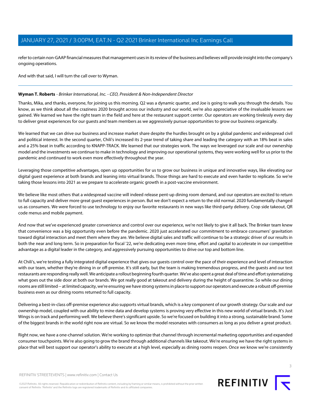refer to certain non-GAAP financial measures that management uses in its review of the business and believes will provide insight into the company's ongoing operations.

And with that said, I will turn the call over to Wyman.

#### <span id="page-2-0"></span>**Wyman T. Roberts** - Brinker International, Inc. - CEO, President & Non-Independent Director

Thanks, Mika, and thanks, everyone, for joining us this morning. Q2 was a dynamic quarter, and Joe is going to walk you through the details. You know, as we think about all the craziness 2020 brought across our industry and our world, we're also appreciative of the invaluable lessons we gained. We learned we have the right team in the field and here at the restaurant support center. Our operators are working tirelessly every day to deliver great experiences for our guests and team members as we aggressively pursue opportunities to grow our business organically.

We learned that we can drive our business and increase market share despite the hurdles brought on by a global pandemic and widespread civil and political interest. In the second quarter, Chili's increased its 2-year trend of taking share and leading the category with an 18% beat in sales and a 25% beat in traffic according to KNAPP-TRACK. We learned that our strategies work. The ways we leveraged our scale and our ownership model and the investments we continue to make in technology and improving our operational systems, they were working well for us prior to the pandemic and continued to work even more effectively throughout the year.

Leveraging those competitive advantages, open up opportunities for us to grow our business in unique and innovative ways, like elevating our digital guest experience at both brands and leaning into virtual brands. Those things are hard to execute and even harder to replicate. So we're taking those lessons into 2021 as we prepare to accelerate organic growth in a post-vaccine environment.

We believe like most others that a widespread vaccine will indeed release pent-up dining room demand, and our operators are excited to return to full capacity and deliver more great guest experiences in person. But we don't expect a return to the old normal. 2020 fundamentally changed us as consumers. We were forced to use technology to enjoy our favorite restaurants in new ways like third-party delivery. Crop side takeout, QR code menus and mobile payment.

And now that we've experienced greater convenience and control over our experience, we're not likely to give it all back. The Brinker team knew that convenience was a big opportunity even before the pandemic. 2020 just accelerated our commitment to embrace consumers' gravitation toward digital interaction and meet them where they are. We believe digital sales and traffic will continue to be a strategic driver of our results in both the near and long term. So in preparation for fiscal '22, we're dedicating even more time, effort and capital to accelerate in our competitive advantage as a digital leader in the category, and aggressively pursuing opportunities to drive our top and bottom line.

At Chili's, we're testing a fully integrated digital experience that gives our guests control over the pace of their experience and level of interaction with our team, whether they're dining in or off-premise. It's still early, but the team is making tremendous progress, and the guests and our test restaurants are responding really well. We anticipate a rollout beginning fourth quarter. We've also spent a great deal of time and effort systematizing what goes out the side door at both our brands. We got really good at takeout and delivery during the height of quarantine. So while our dining rooms are still limited -- at limited capacity, we're ensuring we have strong systems in place to support our operators and execute a robust off-premise business even as our dining rooms returned to full capacity.

Delivering a best-in-class off-premise experience also supports virtual brands, which is a key component of our growth strategy. Our scale and our ownership model, coupled with our ability to mine data and develop systems is proving very effective in this new world of virtual brands. It's Just Wings is on track and performing well. We believe there's significant upside. So we're focused on building it into a strong, sustainable brand. Some of the biggest brands in the world right now are virtual. So we know the model resonates with consumers as long as you deliver a great product.

Right now, we have a one-channel solution. We're working to optimize that channel through incremental marketing opportunities and expanded consumer touchpoints. We're also going to grow the brand through additional channels like takeout. We're ensuring we have the right systems in place that will best support our operator's ability to execute at a high level, especially as dining rooms reopen. Once we know we're consistently

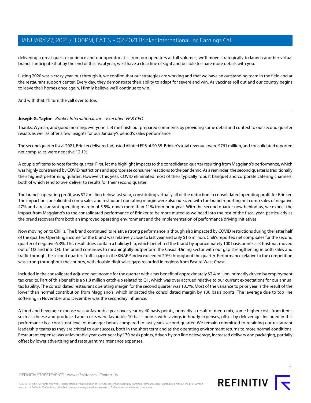delivering a great guest experience and our operator at -- from our operators at full volumes, we'll move strategically to launch another virtual brand. I anticipate that by the end of this fiscal year, we'll have a clear line of sight and be able to share more details with you.

Listing 2020 was a crazy year, but through it, we confirm that our strategies are working and that we have an outstanding team in the field and at the restaurant support center. Every day, they demonstrate their ability to adapt for severe and win. As vaccines roll out and our country begins to leave their homes once again, I firmly believe we'll continue to win.

<span id="page-3-0"></span>And with that, I'll turn the call over to Joe.

## **Joseph G. Taylor** - Brinker International, Inc. - Executive VP & CFO

Thanks, Wyman, and good morning, everyone. Let me finish our prepared comments by providing some detail and context to our second quarter results as well as offer a few insights for our January's period's sales performance.

The second quarter fiscal 2021, Brinker delivered adjusted diluted EPS of \$0.35. Brinker's total revenues were \$761 million, and consolidated reported net comp sales were negative 12.1%.

A couple of items to note for the quarter. First, let me highlight impacts to the consolidated quarter resulting from Maggiano's performance, which was highly constrained by COVID restrictions and appropriate consumer reactions to the pandemic. As a reminder, the second quarter is traditionally their highest performing quarter. However, this year, COVID eliminated most of their typically robust banquet and corporate catering channels, both of which tend to overdeliver to results for their second quarter.

The brand's operating profit was \$22 million below last year, constituting virtually all of the reduction in consolidated operating profit for Brinker. The impact on consolidated comp sales and restaurant operating margin were also outsized with the brand reporting net comp sales of negative 47% and a restaurant operating margin of 5.5%, down more than 11% from prior year. With the second quarter now behind us, we expect the impact from Maggiano's to the consolidated performance of Brinker to be more muted as we head into the rest of the fiscal year, particularly as the brand recovers from both an improved operating environment and the implementation of performance driving initiatives.

Now moving on to Chili's. The brand continued its relative strong performance, although also impacted by COVID restrictions during the latter half of the quarter. Operating income for the brand was relatively close to last year and only \$1.6 million. Chili's reported net comp sales for the second quarter of negative 6.3%. This result does contain a holiday flip, which benefited the brand by approximately 100 basis points as Christmas moved out of Q2 and into Q3. The brand continues to meaningfully outperform the Casual-Dining sector with our gap strengthening in both sales and traffic through the second quarter. Traffic gaps in the KNAPP index exceeded 20% throughout the quarter. Performance relative to the competition was strong throughout the country, with double-digit sales gaps recorded in regions from East to West Coast.

Included in the consolidated adjusted net income for the quarter with a tax benefit of approximately \$2.4 million, primarily driven by employment tax credits. Part of this benefit is a \$1.8 million catch-up related to Q1, which was over accrued relative to our current expectations for our annual tax liability. The consolidated restaurant operating margin for the second quarter was 10.7%. Most of the variance to prior year is the result of the lower than normal contribution from Maggiano's, which impacted the consolidated margin by 130 basis points. The leverage due to top line softening in November and December was the secondary influence.

A food and beverage expense was unfavorable year-over-year by 40 basis points, primarily a result of menu mix, some higher costs from items such as cheese and produce. Labor costs were favorable 10 basis points with savings in hourly expenses, offset by deleverage. Included in this performance is a consistent level of manager bonus compared to last year's second quarter. We remain committed to retaining our restaurant leadership teams as they are critical to our success, both in the short term and as the operating environment returns to more normal conditions. Restaurant expense was unfavorable year-over-year by 170 basis points, driven by top line deleverage, increased delivery and packaging, partially offset by lower advertising and restaurant maintenance expenses.



 $\Delta$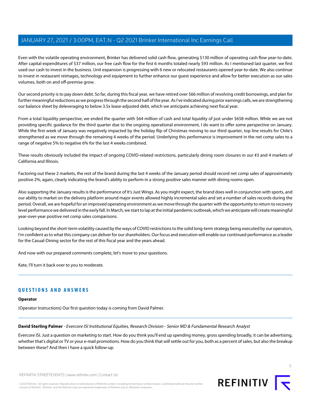Even with the volatile operating environment, Brinker has delivered solid cash flow, generating \$130 million of operating cash flow year-to-date. After capital expenditures of \$37 million, our free cash flow for the first 6 months totaled nearly \$93 million. As I mentioned last quarter, we first used our cash to invest in the business. Unit expansion is progressing with 6 new or relocated restaurants opened year-to-date. We also continue to invest in restaurant reimages, technology and equipment to further enhance our guest experience and allow for better execution as our sales volumes, both on and off-premise grow.

Our second priority is to pay down debt. So far, during this fiscal year, we have retired over \$66 million of revolving credit borrowings, and plan for further meaningful reductions as we progress through the second half of the year. As I've indicated during prior earnings calls, we are strengthening our balance sheet by deleveraging to below 3.5x lease-adjusted debt, which we anticipate achieving next fiscal year.

From a total liquidity perspective, we ended the quarter with \$64 million of cash and total liquidity of just under \$658 million. While we are not providing specific guidance for the third quarter due to the ongoing operational environment, I do want to offer some perspective on January. While the first week of January was negatively impacted by the holiday flip of Christmas moving to our third quarter, top line results for Chile's strengthened as we move through the remaining 4 weeks of the period. Underlying this performance is improvement in the net comp sales to a range of negative 5% to negative 6% for the last 4 weeks combined.

These results obviously included the impact of ongoing COVID-related restrictions, particularly dining room closures in our #3 and 4 markets of California and Illinois.

Factoring out these 2 markets, the rest of the brand during the last 4 weeks of the January period should record net comp sales of approximately positive 2%, again, clearly indicating the brand's ability to perform in a strong positive sales manner with dining rooms open.

Also supporting the January results is the performance of It's Just Wings. As you might expect, the brand does well in conjunction with sports, and our ability to market on the delivery platform around major events allowed highly incremental sales and set a number of sales records during the period. Overall, we are hopeful for an improved operating environment as we move through the quarter with the opportunity to return to recovery level performance we delivered in the early fall. In March, we start to lap at the initial pandemic outbreak, which we anticipate will create meaningful year-over-year positive net comp sales comparisons.

Looking beyond the short-term volatility caused by the ways of COVID restrictions to the solid long-term strategy being executed by our operators, I'm confident as to what this company can deliver for our shareholders. Our focus and execution will enable our continued performance as a leader for the Casual-Dining sector for the rest of this fiscal year and the years ahead.

And now with our prepared comments complete, let's move to your questions.

Kate, I'll turn it back over to you to moderate.

# <span id="page-4-0"></span>**QUESTIONS AND ANSWERS**

#### **Operator**

(Operator Instructions) Our first question today is coming from David Palmer.

## **David Sterling Palmer** - Evercore ISI Institutional Equities, Research Division - Senior MD & Fundamental Research Analyst

Evercore ISI. Just a question on marketing to start. How do you think you'll end up spending money, gross spending broadly, it can be advertising, whether that's digital or TV or your e-mail promotions. How do you think that will settle out for you, both as a percent of sales, but also the breakup between these? And then I have a quick follow-up.

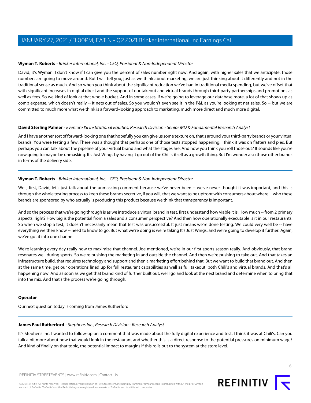David, it's Wyman. I don't know if I can give you the percent of sales number right now. And again, with higher sales that we anticipate, those numbers are going to move around. But I will tell you, just as we think about marketing, we are just thinking about it differently and not in the traditional sense as much. And so when you think about the significant reduction we've had in traditional media spending, but we've offset that with significant increases in digital direct and the support of our takeout and virtual brands through third-party partnerships and promotions as well as fees. So we kind of look at that whole bucket. And in some cases, if we're going to leverage our database more, a lot of that shows up as comp expense, which doesn't really -- it nets out of sales. So you wouldn't even see it in the P&L as you're looking at net sales. So -- but we are committed to much more what we think is a forward-looking approach to marketing, much more direct and much more digital.

# **David Sterling Palmer** - Evercore ISI Institutional Equities, Research Division - Senior MD & Fundamental Research Analyst

And I have another sort of forward-looking one that hopefully you can give us some texture on, that's around your third-party brands or your virtual brands. You were testing a few. There was a thought that perhaps one of those tests stopped happening. I think it was on flatters and pies. But perhaps you can talk about the pipeline of your virtual brand and what the stages are. And how you think you roll those out? It sounds like you're now going to maybe be unmasking. It's Just Wings by having it go out of the Chili's itself as a growth thing. But I'm wonder also those other brands in terms of the delivery side.

# **Wyman T. Roberts** - Brinker International, Inc. - CEO, President & Non-Independent Director

Well, first, David, let's just talk about the unmasking comment because we've never been -- we've never thought it was important, and this is through the whole testing process to keep these brands secretive, if you will, that we want to be upfront with consumers about where -- who these brands are sponsored by who actually is producing this product because we think that transparency is important.

And so the process that we're going through is as we introduce a virtual brand in test, first understand how viable it is. How much -- from 2 primary aspects, right? How big is the potential from a sales and a consumer perspective? And then how operationally executable is it in our restaurants. So when we stop a test, it doesn't necessarily mean that test was unsuccessful. It just means we're done testing. We could very well be -- have everything we then know -- need to know to go. But what we're doing is we're taking It's Just Wings, and we're going to develop it further. Again, we've got it into one channel.

We're learning every day really how to maximize that channel. Joe mentioned, we're in our first sports season really. And obviously, that brand resonates well during sports. So we're pushing the marketing in and outside the channel. And then we're pushing to take out. And that takes an infrastructure build, that requires technology and support and then a marketing effort behind that. But we want to build that brand out. And then at the same time, get our operations lined up for full restaurant capabilities as well as full takeout, both Chili's and virtual brands. And that's all happening now. And as soon as we get that brand kind of further built out, we'll go and look at the next brand and determine when to bring that into the mix. And that's the process we're going through.

## <span id="page-5-0"></span>**Operator**

Our next question today is coming from James Rutherford.

## **James Paul Rutherford** - Stephens Inc., Research Division - Research Analyst

It's Stephens Inc. I wanted to follow-up on a comment that was made about the fully digital experience and test, I think it was at Chili's. Can you talk a bit more about how that would look in the restaurant and whether this is a direct response to the potential pressures on minimum wage? And kind of finally on that topic, the potential impact to margins if this rolls out to the system at the store level.



6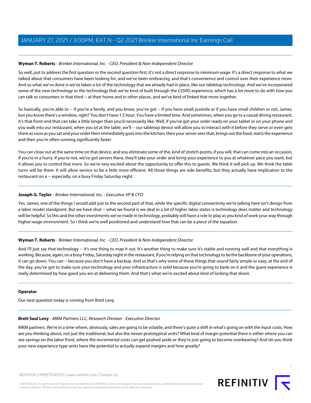So well, just to address the first question or the second question first, it's not a direct response to minimum wage. It's a direct response to what we talked about that consumers have been looking for, and we've been embracing, and that's convenience and control over their experience more. And so what we've done is we've taken a lot of the technology that we already had in place, like our tabletop technology. And we've incorporated some of the new technology or the technology that we've kind of built through the COVID experience, which has a lot more to do with how you can talk to consumers in that third -- at their home and in other places, and we've kind of linked that more together.

So basically, you're able to -- if you're a family, and you know, you've got -- if you have small juvenile or if you have small children or not, James, but you know there's a window, right? You don't have 1.5 hour. You have a limited time. And sometimes, when you go to a casual dining restaurant, it's that front-end that can take a little longer than you'd necessarily like. Well, if you've got your order ready on your tablet or on your phone and you walk into our restaurant, when you sit at the table, we'll -- our tabletop device will allow you to interact with it before they serve or even gets there as soon as you sat and your order then immediately goes into the kitchen, then your server sees that, brings out the food, starts the experience and then you're often running significantly faster.

You can close out at the same time on that device, and you eliminate some of the, kind of stretch points, if you will, that can come into an occasion, if you're in a hurry. If you're not, we've got servers there, they'll take your order and bring your experience to you at whatever pace you want, but it allows you to control that more. So we're very excited about the opportunity to offer this to guests. We think it will pick up. We think the table turns will be there. It will allow service to be a little more efficient. All those things are side benefits, but they actually have implication to the restaurant on a -- especially, on a busy Friday Saturday night.

# **Joseph G. Taylor** - Brinker International, Inc. - Executive VP & CFO

Yes. James, one of the things I would add just to the second part of that, while the specific digital connectivity we're talking here isn't design from a labor model standpoint. But we have shut -- what we found is we deal in a lot of higher labor states is technology does matter and technology will be helpful. So this and the other investments we've made in technology, probably will have a role to play as you kind of work your way through higher-wage environment. So I think we're well positioned and understand how that can be a piece of the equation.

## **Wyman T. Roberts** - Brinker International, Inc. - CEO, President & Non-Independent Director

And I'll just say that technology -- it's one thing to map it out. It's another thing to make sure it's stable and running well and that everything is working. Because, again, on a busy Friday, Saturday night in the restaurant, if you're relying on that technology to be the backbone of your operations, it can go down. You can -- because you don't have a backup. And so that's why some of these things that sound fairly simple or easy, at the end of the day, you've got to make sure your technology and your infrastructure is solid because you're going to bank on it and the guest experience is really determined by how good you are at delivering them. And that's what we're excited about kind of locking that down.

## <span id="page-6-0"></span>**Operator**

Our next question today is coming from Brett Levy.

## **Brett Saul Levy** - MKM Partners LLC, Research Division - Executive Director

MKM partners. We're in a time where, obviously, sales are going to be volatile, and there's quite a shift in what's going on with the input costs. How are you thinking about, not just the traditional, but also the newer prototypical units? What kind of margin potential there is either where you can see savings on the labor front, where the incremental costs can get pushed aside or they're just going to become overbearing? And do you think your new experience type units have the potential to actually expand margins and how greatly?

7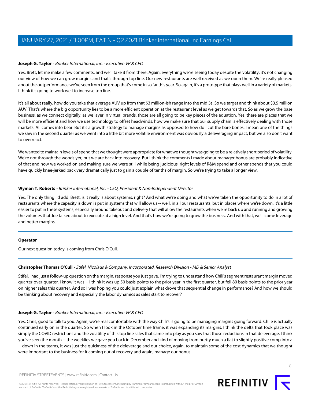# **Joseph G. Taylor** - Brinker International, Inc. - Executive VP & CFO

Yes. Brett, let me make a few comments, and we'll take it from there. Again, everything we're seeing today despite the volatility, it's not changing our view of how we can grow margins and that's through top line. Our new restaurants are well received as we open them. We're really pleased about the outperformance we've seen from the group that's come in so far this year. So again, it's a prototype that plays well in a variety of markets. I think it's going to work well to increase top line.

It's all about really, how do you take that average AUV up from that \$3 million-ish range into the mid 3s. So we target and think about \$3.5 million AUV. That's where the big opportunity lies to be a more efficient operation at the restaurant level as we get towards that. So as we grow the base business, as we connect digitally, as we layer in virtual brands, those are all going to be key pieces of the equation. Yes, there are places that we will be more efficient and how we use technology to offset headwinds, how we make sure that our supply chain is effectively dealing with those markets. All comes into bear. But it's a growth strategy to manage margins as opposed to how do I cut the bare bones. I mean one of the things we saw in the second quarter as we went into a little bit more volatile environment was obviously a deleveraging impact, but we also don't want to overreact.

We wanted to maintain levels of spend that we thought were appropriate for what we thought was going to be a relatively short period of volatility. We're not through the woods yet, but we are back into recovery. But I think the comments I made about manager bonus are probably indicative of that and how we worked on and making sure we were still while being judicious, right levels of R&M spend and other spends that you could have quickly knee-jerked back very dramatically just to gain a couple of tenths of margin. So we're trying to take a longer view.

## **Wyman T. Roberts** - Brinker International, Inc. - CEO, President & Non-Independent Director

Yes. The only thing I'd add, Brett, is it really is about systems, right? And what we're doing and what we've taken the opportunity to do in a lot of restaurants where the capacity is down is put in systems that will allow us -- well, in all our restaurants, but in places where we're down, it's a little easier to put in these systems, especially around takeout and delivery that will allow the restaurants when we're back up and running and growing the volumes that Joe talked about to execute at a high level. And that's how we're going to grow the business. And with that, we'll come leverage and better margins.

## <span id="page-7-0"></span>**Operator**

Our next question today is coming from Chris O'Cull.

## **Christopher Thomas O'Cull** - Stifel, Nicolaus & Company, Incorporated, Research Division - MD & Senior Analyst

Stifel. I had just a follow-up question on the margin, response you just gave, I'm trying to understand how Chili's segment restaurant margin moved quarter-over-quarter. I know it was -- I think it was up 50 basis points to the prior year in the first quarter, but fell 80 basis points to the prior year on higher sales this quarter. And so I was hoping you could just explain what drove that sequential change in performance? And how we should be thinking about recovery and especially the labor dynamics as sales start to recover?

# **Joseph G. Taylor** - Brinker International, Inc. - Executive VP & CFO

Yes. Chris, good to talk to you. Again, we're real comfortable with the way Chili's is going to be managing margins going forward. Chile is actually continued early on in the quarter. So when I look in the October time frame, it was expanding its margins. I think the delta that took place was simply the COVID restrictions and the volatility of this top line sales that came into play as you saw that those reductions in that deleverage. I think you've seen the month -- the weeklies we gave you back in December and kind of moving from pretty much a flat to slightly positive comp into a -- down in the teams, it was just the quickness of the deleverage and our choice, again, to maintain some of the cost dynamics that we thought were important to the business for it coming out of recovery and again, manage our bonus.

©2021 Refinitiv. All rights reserved. Republication or redistribution of Refinitiv content, including by framing or similar means, is prohibited without the prior written consent of Refinitiv. 'Refinitiv' and the Refinitiv logo are registered trademarks of Refinitiv and its affiliated companies.

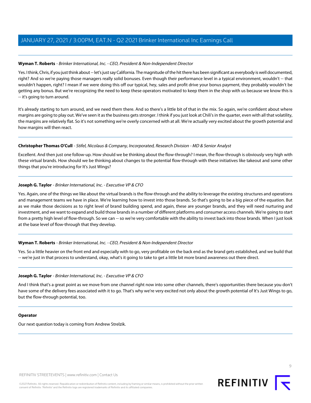Yes. I think, Chris, if you just think about -- let's just say California. The magnitude of the hit there has been significant as everybody is well documented, right? And so we're paying those managers really solid bonuses. Even though their performance level in a typical environment, wouldn't -- that wouldn't happen, right? I mean if we were doing this off our typical, hey, sales and profit drive your bonus payment, they probably wouldn't be getting any bonus. But we're recognizing the need to keep these operators motivated to keep them in the shop with us because we know this is -- it's going to turn around.

It's already starting to turn around, and we need them there. And so there's a little bit of that in the mix. So again, we're confident about where margins are going to play out. We've seen it as the business gets stronger. I think if you just look at Chili's in the quarter, even with all that volatility, the margins are relatively flat. So it's not something we're overly concerned with at all. We're actually very excited about the growth potential and how margins will then react.

# **Christopher Thomas O'Cull** - Stifel, Nicolaus & Company, Incorporated, Research Division - MD & Senior Analyst

Excellent. And then just one follow-up. How should we be thinking about the flow-through? I mean, the flow-through is obviously very high with these virtual brands. How should we be thinking about changes to the potential flow-through with these initiatives like takeout and some other things that you're introducing for It's Just Wings?

# **Joseph G. Taylor** - Brinker International, Inc. - Executive VP & CFO

Yes. Again, one of the things we like about the virtual brands is the flow-through and the ability to leverage the existing structures and operations and management teams we have in place. We're learning how to invest into those brands. So that's going to be a big piece of the equation. But as we make those decisions as to right level of brand building spend, and again, these are younger brands, and they will need nurturing and investment, and we want to expand and build those brands in a number of different platforms and consumer access channels. We're going to start from a pretty high level of flow-through. So we can -- so we're very comfortable with the ability to invest back into those brands. When I just look at the base level of flow-through that they develop.

# **Wyman T. Roberts** - Brinker International, Inc. - CEO, President & Non-Independent Director

Yes. So a little heavier on the front end and especially with to go, very profitable on the back end as the brand gets established, and we build that -- we're just in that process to understand, okay, what's it going to take to get a little bit more brand awareness out there direct.

# **Joseph G. Taylor** - Brinker International, Inc. - Executive VP & CFO

And I think that's a great point as we move from one channel right now into some other channels, there's opportunities there because you don't have some of the delivery fees associated with it to go. That's why we're very excited not only about the growth potential of It's Just Wings to go, but the flow-through potential, too.

## **Operator**

Our next question today is coming from Andrew Strelzik.

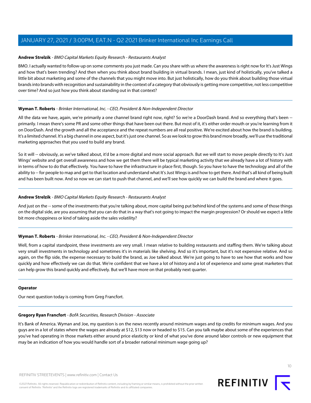#### <span id="page-9-0"></span>**Andrew Strelzik** - BMO Capital Markets Equity Research - Restaurants Analyst

BMO. I actually wanted to follow-up on some comments you just made. Can you share with us where the awareness is right now for It's Just Wings and how that's been trending? And then when you think about brand building in virtual brands. I mean, just kind of holistically, you've talked a little bit about marketing and some of the channels that you might move into. But just holistically, how do you think about building those virtual brands into brands with recognition and sustainability in the context of a category that obviously is getting more competitive, not less competitive over time? And so just how you think about standing out in that context?

#### **Wyman T. Roberts** - Brinker International, Inc. - CEO, President & Non-Independent Director

All the data we have, again, we're primarily a one channel brand right now, right? So we're a DoorDash brand. And so everything that's been -primarily. I mean there's some PR and some other things that have been out there. But most of it, it's either order mouth or you're learning from it on DoorDash. And the growth and all the acceptance and the repeat numbers are all real positive. We're excited about how the brand is building. It's a limited channel. It's a big channel in one aspect, but it's just one channel. So as we look to grow this brand more broadly, we'll use the traditional marketing approaches that you used to build any brand.

So it will -- obviously, as we've talked about, it'd be a more digital and more social approach. But we will start to move people directly to It's Just Wings' website and get overall awareness and how we get them there will be typical marketing activity that we already have a lot of history with in terms of how to do that effectively. You have to have the infrastructure in place first, though. So you have to have the technology and all of the ability to -- for people to map and get to that location and understand what It's Just Wings is and how to get there. And that's all kind of being built and has been built now. And so now we can start to push that channel, and we'll see how quickly we can build the brand and where it goes.

## **Andrew Strelzik** - BMO Capital Markets Equity Research - Restaurants Analyst

And just on the -- some of the investments that you're talking about, more capital being put behind kind of the systems and some of those things on the digital side, are you assuming that you can do that in a way that's not going to impact the margin progression? Or should we expect a little bit more choppiness or kind of taking aside the sales volatility?

## **Wyman T. Roberts** - Brinker International, Inc. - CEO, President & Non-Independent Director

Well, from a capital standpoint, these investments are very small. I mean relative to building restaurants and staffing them. We're talking about very small investments in technology and sometimes it's in materials like shelving. And so it's important, but it's not expensive relative. And so again, on the flip side, the expense necessary to build the brand, as Joe talked about. We're just going to have to see how that works and how quickly and how effectively we can do that. We're confident that we have a lot of history and a lot of experience and some great marketers that can help grow this brand quickly and effectively. But we'll have more on that probably next quarter.

#### <span id="page-9-1"></span>**Operator**

Our next question today is coming from Greg Francfort.

## **Gregory Ryan Francfort** - BofA Securities, Research Division - Associate

It's Bank of America. Wyman and Joe, my question is on the news recently around minimum wages and tip credits for minimum wages. And you guys are in a lot of states where the wages are already at \$12, \$13 now or headed to \$15. Can you talk maybe about some of the experiences that you've had operating in those markets either around price elasticity or kind of what you've done around labor controls or new equipment that may be an indication of how you would handle sort of a broader national minimum wage going up?

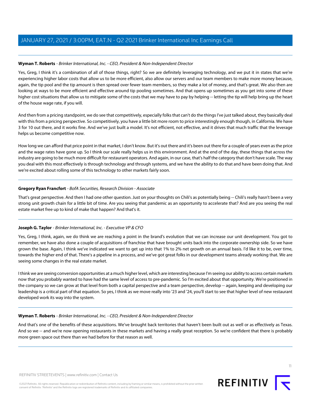Yes, Greg, I think it's a combination of all of those things, right? So we are definitely leveraging technology, and we put it in states that we're experiencing higher labor costs that allow us to be more efficient, also allow our servers and our team members to make more money because, again, the tip pool and the tip amount is then spread over fewer team members, so they make a lot of money, and that's great. We also then are looking at ways to be more efficient and effective around tip pooling sometimes. And that opens up sometimes as you get into some of these higher cost situations that allow us to mitigate some of the costs that we may have to pay by helping -- letting the tip will help bring up the heart of the house wage rate, if you will.

And then from a pricing standpoint, we do see that competitively, especially folks that can't do the things I've just talked about, they basically deal with this from a pricing perspective. So competitively, you have a little bit more room to price interestingly enough though, in California. We have 3 for 10 out there, and it works fine. And we've just built a model. It's not efficient, not effective, and it drives that much traffic that the leverage helps us become competitive now.

How long we can afford that price point in that market, I don't know. But it's out there and it's been out there for a couple of years even as the price and the wage rates have gone up. So I think our scale really helps us in this environment. And at the end of the day, these things that across the industry are going to be much more difficult for restaurant operators. And again, in our case, that's half the category that don't have scale. The way you deal with this most effectively is through technology and through systems, and we have the ability to do that and have been doing that. And we're excited about rolling some of this technology to other markets fairly soon.

## **Gregory Ryan Francfort** - BofA Securities, Research Division - Associate

That's great perspective. And then I had one other question. Just on your thoughts on Chili's as potentially being -- Chili's really hasn't been a very strong unit growth chain for a little bit of time. Are you seeing that pandemic as an opportunity to accelerate that? And are you seeing the real estate market free up to kind of make that happen? And that's it.

## **Joseph G. Taylor** - Brinker International, Inc. - Executive VP & CFO

Yes, Greg, I think, again, we do think we are reaching a point in the brand's evolution that we can increase our unit development. You got to remember, we have also done a couple of acquisitions of franchise that have brought units back into the corporate ownership side. So we have grown the base. Again, I think we've indicated we want to get up into that 1% to 2% net growth on an annual basis. I'd like it to be, over time, towards the higher end of that. There's a pipeline in a process, and we've got great folks in our development teams already working that. We are seeing some changes in the real estate market.

I think we are seeing conversion opportunities at a much higher level, which are interesting because I'm seeing our ability to access certain markets now that you probably wanted to have had the same level of access to pre-pandemic. So I'm excited about that opportunity. We're positioned in the company so we can grow at that level from both a capital perspective and a team perspective, develop -- again, keeping and developing our leadership is a critical part of that equation. So yes, I think as we move really into '23 and '24, you'll start to see that higher level of new restaurant developed work its way into the system.

## **Wyman T. Roberts** - Brinker International, Inc. - CEO, President & Non-Independent Director

And that's one of the benefits of these acquisitions. We've brought back territories that haven't been built out as well or as effectively as Texas. And so we -- and we're now opening restaurants in these markets and having a really great reception. So we're confident that there is probably more green space out there than we had before for that reason as well.

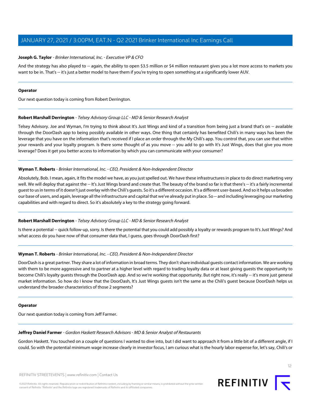#### **Joseph G. Taylor** - Brinker International, Inc. - Executive VP & CFO

And the strategy has also played to -- again, the ability to open \$3.5 million or \$4 million restaurant gives you a lot more access to markets you want to be in. That's -- it's just a better model to have them if you're trying to open something at a significantly lower AUV.

#### **Operator**

<span id="page-11-1"></span>Our next question today is coming from Robert Derrington.

#### **Robert Marshall Derrington** - Telsey Advisory Group LLC - MD & Senior Research Analyst

Telsey Advisory. Joe and Wyman, I'm trying to think about It's Just Wings and kind of a transition from being just a brand that's on -- available through the DoorDash app to being possibly available in other ways. One thing that certainly has benefited Chili's in many ways has been the leverage that you have on the information that's received if I place an order through the My Chili's app. You control that, you can use that within your rewards and your loyalty program. Is there some thought of as you move -- you add to go with It's Just Wings, does that give you more leverage? Does it get you better access to information by which you can communicate with your consumer?

#### **Wyman T. Roberts** - Brinker International, Inc. - CEO, President & Non-Independent Director

Absolutely, Bob. I mean, again, it fits the model we have, as you just spelled out. We have these infrastructures in place to do direct marketing very well. We will deploy that against the -- It's Just Wings brand and create that. The beauty of the brand so far is that there's -- it's a fairly incremental guest to us in terms of it doesn't just overlay with the Chili's guests. So it's a different occasion. It's a different user-based. And so it helps us broaden our base of users, and again, leverage all the infrastructure and capital that we've already put in place. So -- and including leveraging our marketing capabilities and with regard to direct. So it's absolutely a key to the strategy going forward.

#### **Robert Marshall Derrington** - Telsey Advisory Group LLC - MD & Senior Research Analyst

Is there a potential -- quick follow-up, sorry. Is there the potential that you could add possibly a loyalty or rewards program to It's Just Wings? And what access do you have now of that consumer data that, I guess, goes through DoorDash first?

#### **Wyman T. Roberts** - Brinker International, Inc. - CEO, President & Non-Independent Director

DoorDash is a great partner. They share a lot of information in broad terms. They don't share individual guests contact information. We are working with them to be more aggressive and to partner at a higher level with regard to trading loyalty data or at least giving guests the opportunity to become Chili's loyalty guests through the DoorDash app. And so we're working that opportunity. But right now, it's really -- it's more just general market information. So how do I know that the DoorDash, It's Just Wings guests isn't the same as the Chili's guest because DoorDash helps us understand the broader characteristics of those 2 segments?

#### <span id="page-11-0"></span>**Operator**

Our next question today is coming from Jeff Farmer.

#### **Jeffrey Daniel Farmer** - Gordon Haskett Research Advisors - MD & Senior Analyst of Restaurants

Gordon Haskett. You touched on a couple of questions I wanted to dive into, but I did want to approach it from a little bit of a different angle, if I could. So with the potential minimum wage increase clearly in investor focus, I am curious what is the hourly labor expense for, let's say, Chili's or

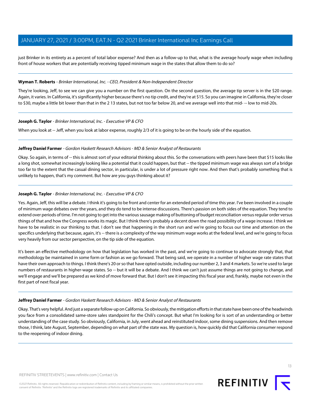just Brinker in its entirety as a percent of total labor expense? And then as a follow-up to that, what is the average hourly wage when including front of house workers that are potentially receiving tipped minimum wage in the states that allow them to do so?

#### **Wyman T. Roberts** - Brinker International, Inc. - CEO, President & Non-Independent Director

They're looking, Jeff, to see we can give you a number on the first question. On the second question, the average tip server is in the \$20 range. Again, it varies. In California, it's significantly higher because there's no tip credit, and they're at \$15. So you can imagine in California, they're closer to \$30, maybe a little bit lower than that in the 2 13 states, but not too far below 20, and we average well into that mid- -- low to mid-20s.

#### **Joseph G. Taylor** - Brinker International, Inc. - Executive VP & CFO

When you look at -- Jeff, when you look at labor expense, roughly 2/3 of it is going to be on the hourly side of the equation.

## **Jeffrey Daniel Farmer** - Gordon Haskett Research Advisors - MD & Senior Analyst of Restaurants

Okay. So again, in terms of -- this is almost sort of your editorial thinking about this. So the conversations with peers have been that \$15 looks like a long shot, somewhat increasingly looking like a potential that it could happen, but that -- the tipped minimum wage was always sort of a bridge too far to the extent that the casual dining sector, in particular, is under a lot of pressure right now. And then that's probably something that is unlikely to happen, that's my comment. But how are you guys thinking about it?

## **Joseph G. Taylor** - Brinker International, Inc. - Executive VP & CFO

Yes. Again, Jeff, this will be a debate. I think it's going to be front and center for an extended period of time this year. I've been involved in a couple of minimum wage debates over the years, and they do tend to be intense discussions. There's passion on both sides of the equation. They tend to extend over periods of time. I'm not going to get into the various sausage making of buttoning of budget reconciliation versus regular order versus things of that and how the Congress works its magic. But I think there's probably a decent down the road possibility of a wage increase. I think we have to be realistic in our thinking to that. I don't see that happening in the short run and we're going to focus our time and attention on the specifics underlying that because, again, it's -- there is a complexity of the way minimum wage works at the federal level, and we're going to focus very heavily from our sector perspective, on the tip side of the equation.

It's been an effective methodology on how that legislation has worked in the past, and we're going to continue to advocate strongly that, that methodology be maintained in some form or fashion as we go forward. That being said, we operate in a number of higher wage rate states that have their own approach to things. I think there's 20 or so that have opted outside, including our number 2, 3 and 4 markets. So we're used to large numbers of restaurants in higher-wage states. So -- but it will be a debate. And I think we can't just assume things are not going to change, and we'll engage and we'll be prepared as we kind of move forward that. But I don't see it impacting this fiscal year and, frankly, maybe not even in the first part of next fiscal year.

#### **Jeffrey Daniel Farmer** - Gordon Haskett Research Advisors - MD & Senior Analyst of Restaurants

Okay. That's very helpful. And just a separate follow-up on California. So obviously, the mitigation efforts in that state have been one of the headwinds you face from a consolidated same-store sales standpoint for the Chili's concept. But what I'm looking for is sort of an understanding or better understanding of the case study. So obviously, California, in July, went ahead and reinstituted indoor, some dining suspensions. And then remove those, I think, late August, September, depending on what part of the state was. My question is, how quickly did that California consumer respond to the reopening of indoor dining.

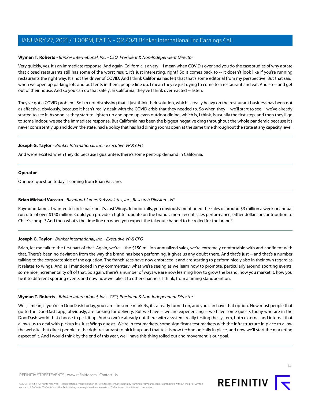## **Wyman T. Roberts** - Brinker International, Inc. - CEO, President & Non-Independent Director

Very quickly, yes. It's an immediate response. And again, California is a very -- I mean when COVID's over and you do the case studies of why a state that closed restaurants still has some of the worst result. It's just interesting, right? So it comes back to -- it doesn't look like if you're running restaurants the right way. It's not the driver of COVID. And I think California has felt that that's some editorial from my perspective. But that said, when we open up parking lots and put tents in them, people line up. I mean they're just dying to come to a restaurant and eat. And so -- and get out of their house. And so you can do that safely. In California, they've I think overreacted -- listen.

They've got a COVID problem. So I'm not dismissing that. I just think their solution, which is really heavy on the restaurant business has been not as effective, obviously, because it hasn't really dealt with the COVID crisis that they needed to. So when they -- we'll start to see -- we've already started to see it. As soon as they start to lighten up and open up even outdoor dining, which is, I think, is usually the first step, and then they'll go to some indoor, we see the immediate response. But California has been the biggest negative drag throughout the whole pandemic because it's never consistently up and down the state, had a policy that has had dining rooms open at the same time throughout the state at any capacity level.

## **Joseph G. Taylor** - Brinker International, Inc. - Executive VP & CFO

And we're excited when they do because I guarantee, there's some pent-up demand in California.

#### **Operator**

<span id="page-13-0"></span>Our next question today is coming from Brian Vaccaro.

## **Brian Michael Vaccaro** - Raymond James & Associates, Inc., Research Division - VP

Raymond James. I wanted to circle back on It's Just Wings. In prior calls, you obviously mentioned the sales of around \$3 million a week or annual run rate of over \$150 million. Could you provide a tighter update on the brand's more recent sales performance, either dollars or contribution to Chile's comps? And then what's the time line on when you expect the takeout channel to be rolled for the brand?

## **Joseph G. Taylor** - Brinker International, Inc. - Executive VP & CFO

Brian, let me talk to the first part of that. Again, we're -- the \$150 million annualized sales, we're extremely comfortable with and confident with that. There's been no deviation from the way the brand has been performing, it gives us any doubt there. And that's just -- and that's a number talking to the corporate side of the equation. The franchisees have now embraced it and are starting to perform nicely also in their own regard as it relates to wings. And as I mentioned in my commentary, what we're seeing as we learn how to promote, particularly around sporting events, some nice incrementality off of that. So again, there's a number of ways we are now learning how to grow the brand, how you market it, how you tie it to different sporting events and now how we take it to other channels. I think, from a timing standpoint on.

## **Wyman T. Roberts** - Brinker International, Inc. - CEO, President & Non-Independent Director

Well, I mean, if you're in DoorDash today, you can -- in some markets, it's already turned on, and you can have that option. Now most people that go to the DoorDash app, obviously, are looking for delivery. But we have -- we are experiencing -- we have some guests today who are in the DoorDash world that choose to pick it up. And so we're already out there with a system, really testing the system, both external and internal that allows us to deal with pickup It's Just Wings guests. We're in test markets, some significant test markets with the infrastructure in place to allow the website that direct people to the right restaurant to pick it up, and that test is now technologically in place, and now we'll start the marketing aspect of it. And I would think by the end of this year, we'll have this thing rolled out and movement is our goal.

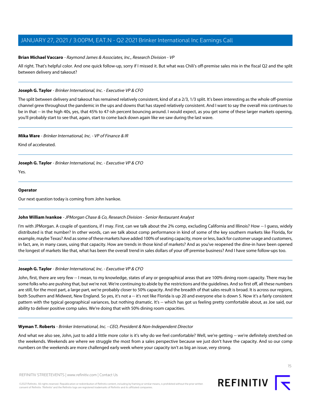#### **Brian Michael Vaccaro** - Raymond James & Associates, Inc., Research Division - VP

All right. That's helpful color. And one quick follow-up, sorry if I missed it. But what was Chili's off-premise sales mix in the fiscal Q2 and the split between delivery and takeout?

#### **Joseph G. Taylor** - Brinker International, Inc. - Executive VP & CFO

The split between delivery and takeout has remained relatively consistent, kind of at a 2/3, 1/3 split. It's been interesting as the whole off-premise channel grew throughout the pandemic in the ups and downs that has stayed relatively consistent. And I want to say the overall mix continues to be in that -- in the high 40s, yes, that 45% to 47-ish percent bouncing around. I would expect, as you get some of these larger markets opening, you'll probably start to see that, again, start to come back down again like we saw during the last wave.

#### **Mika Ware** - Brinker International, Inc. - VP of Finance & IR

Kind of accelerated.

## **Joseph G. Taylor** - Brinker International, Inc. - Executive VP & CFO

Yes.

#### **Operator**

<span id="page-14-0"></span>Our next question today is coming from John Ivankoe.

## **John William Ivankoe** - JPMorgan Chase & Co, Research Division - Senior Restaurant Analyst

I'm with JPMorgan. A couple of questions, if I may. First, can we talk about the 2% comp, excluding California and Illinois? How -- I guess, widely distributed is that number? In other words, can we talk about comp performance in kind of some of the key southern markets like Florida, for example, maybe Texas? And as some of these markets have added 100% of seating capacity, more or less, back for customer usage and customers, in fact, are, in many cases, using that capacity. How are trends in those kind of markets? And as you've reopened the dine-in have been opened the longest of markets like that, what has been the overall trend in sales dollars of your off premise business? And I have some follow-ups too.

## **Joseph G. Taylor** - Brinker International, Inc. - Executive VP & CFO

John, first, there are very few -- I mean, to my knowledge, states of any or geographical areas that are 100% dining room capacity. There may be some folks who are pushing that, but we're not. We're continuing to abide by the restrictions and the guidelines. And so first off, all these numbers are still, for the most part, a large part, we're probably closer to 50% capacity. And the breadth of that sales result is broad. It is across our regions, both Southern and Midwest, New England. So yes, it's not a -- it's not like Florida is up 20 and everyone else is down 5. Now it's a fairly consistent pattern with the typical geographical variances, but nothing dramatic. It's -- which has got us feeling pretty comfortable about, as Joe said, our ability to deliver positive comp sales. We're doing that with 50% dining room capacities.

#### **Wyman T. Roberts** - Brinker International, Inc. - CEO, President & Non-Independent Director

And what we also see, John, just to add a little more color is it's why do we feel comfortable? Well, we're getting -- we're definitely stretched on the weekends. Weekends are where we struggle the most from a sales perspective because we just don't have the capacity. And so our comp numbers on the weekends are more challenged early week where your capacity isn't as big an issue, very strong.

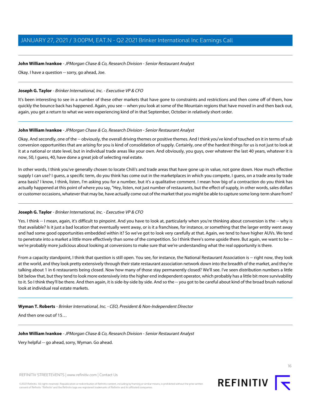#### **John William Ivankoe** - JPMorgan Chase & Co, Research Division - Senior Restaurant Analyst

Okay. I have a question -- sorry, go ahead, Joe.

#### **Joseph G. Taylor** - Brinker International, Inc. - Executive VP & CFO

It's been interesting to see in a number of these other markets that have gone to constraints and restrictions and then come off of them, how quickly the bounce back has happened. Again, you see -- when you look at some of the Mountain regions that have moved in and then back out, again, you get a return to what we were experiencing kind of in that September, October in relatively short order.

#### **John William Ivankoe** - JPMorgan Chase & Co, Research Division - Senior Restaurant Analyst

Okay. And secondly, one of the -- obviously, the overall driving themes or positive themes. And I think you've kind of touched on it in terms of sub conversion opportunities that are arising for you is kind of consolidation of supply. Certainly, one of the hardest things for us is not just to look at it at a national or state level, but in individual trade areas like your own. And obviously, you guys, over whatever the last 40 years, whatever it is now, 50, I guess, 40, have done a great job of selecting real estate.

In other words, I think you've generally chosen to locate Chili's and trade areas that have gone up in value, not gone down. How much effective supply I can use? I guess, a specific term, do you think has come out in the marketplaces in which you compete, I guess, on a trade area by trade area basis? I know, I think, listen, I'm asking you for a number, but it's a qualitative comment. I mean how big of a contraction do you think has actually happened at this point of where you say, "Hey, listen, not just number of restaurants, but the effect of supply, in other words, sales dollars or customer occasions, whatever that may be, have actually come out of the market that you might be able to capture some long-term share from?

## **Joseph G. Taylor** - Brinker International, Inc. - Executive VP & CFO

Yes. I think -- I mean, again, it's difficult to pinpoint. And you have to look at, particularly when you're thinking about conversion is the -- why is that available? Is it just a bad location that eventually went away, or is it a franchisee, for instance, or something that the larger entity went away and had some good opportunities embedded within it? So we've got to look very carefully at that. Again, we tend to have higher AUVs. We tend to penetrate into a market a little more effectively than some of the competition. So I think there's some upside there. But again, we want to be - we're probably more judicious about looking at conversions to make sure that we're understanding what the real opportunity is there.

From a capacity standpoint, I think that question is still open. You see, for instance, the National Restaurant Association is -- right now, they look at the world, and they look pretty extensively through their state restaurant association network down into the breadth of the market, and they're talking about 1 in 6 restaurants being closed. Now how many of those stay permanently closed? We'll see. I've seen distribution numbers a little bit below that, but they tend to look more extensively into the higher end independent operator, which probably has a little bit more survivability to it. So I think they'll be there. And then again, it is side-by-side by side. And so the -- you got to be careful about kind of the broad brush national look at individual real estate markets.

**Wyman T. Roberts** - Brinker International, Inc. - CEO, President & Non-Independent Director

And then one out of 15…

**John William Ivankoe** - JPMorgan Chase & Co, Research Division - Senior Restaurant Analyst

Very helpful -- go ahead, sorry, Wyman. Go ahead.

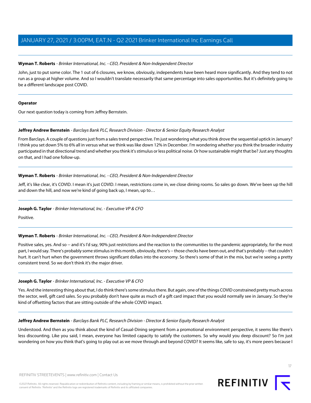John, just to put some color. The 1 out of 6 closures, we know, obviously, independents have been heard more significantly. And they tend to not run as a group at higher volume. And so I wouldn't translate necessarily that same percentage into sales opportunities. But it's definitely going to be a different landscape post COVID.

## **Operator**

<span id="page-16-0"></span>Our next question today is coming from Jeffrey Bernstein.

# **Jeffrey Andrew Bernstein** - Barclays Bank PLC, Research Division - Director & Senior Equity Research Analyst

From Barclays. A couple of questions just from a sales trend perspective. I'm just wondering what you think drove the sequential uptick in January? I think you set down 5% to 6% all in versus what we think was like down 12% in December. I'm wondering whether you think the broader industry participated in that directional trend and whether you think it's stimulus or less political noise. Or how sustainable might that be? Just any thoughts on that, and I had one follow-up.

# **Wyman T. Roberts** - Brinker International, Inc. - CEO, President & Non-Independent Director

Jeff, it's like clear, it's COVID. I mean it's just COVID. I mean, restrictions come in, we close dining rooms. So sales go down. We've been up the hill and down the hill, and now we're kind of going back up, I mean, up to…

# **Joseph G. Taylor** - Brinker International, Inc. - Executive VP & CFO

Positive.

# **Wyman T. Roberts** - Brinker International, Inc. - CEO, President & Non-Independent Director

Positive sales, yes. And so -- and it's I'd say, 90% just restrictions and the reaction to the communities to the pandemic appropriately, for the most part, I would say. There's probably some stimulus in this month, obviously, there's -- those checks have been out, and that's probably -- that couldn't hurt. It can't hurt when the government throws significant dollars into the economy. So there's some of that in the mix, but we're seeing a pretty consistent trend. So we don't think it's the major driver.

# **Joseph G. Taylor** - Brinker International, Inc. - Executive VP & CFO

Yes. And the interesting thing about that, I do think there's some stimulus there. But again, one of the things COVID constrained pretty much across the sector, well, gift card sales. So you probably don't have quite as much of a gift card impact that you would normally see in January. So they're kind of offsetting factors that are sitting outside of the whole COVID impact.

## **Jeffrey Andrew Bernstein** - Barclays Bank PLC, Research Division - Director & Senior Equity Research Analyst

Understood. And then as you think about the kind of Casual-Dining segment from a promotional environment perspective, it seems like there's less discounting. Like you said, I mean, everyone has limited capacity to satisfy the customers. So why would you deep discount? So I'm just wondering on how you think that's going to play out as we move through and beyond COVID? It seems like, safe to say, it's more peers because I

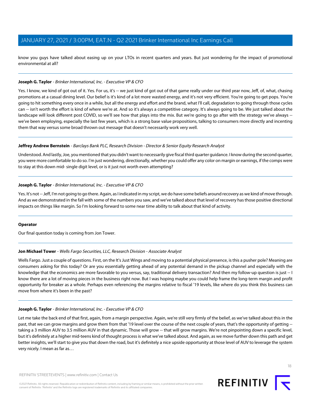know you guys have talked about easing up on your LTOs in recent quarters and years. But just wondering for the impact of promotional environmental at all?

#### **Joseph G. Taylor** - Brinker International, Inc. - Executive VP & CFO

Yes. I know, we kind of got out of it. Yes. For us, it's -- we just kind of got out of that game really under our third year now, Jeff, of, what, chasing promotions at a casual dining level. Our belief is it's kind of a lot more wasted energy, and it's not very efficient. You're going to get pops. You're going to hit something every once in a while, but all the energy and effort and the brand, what I'll call, degradation to going through those cycles can -- isn't worth the effort is kind of where we're at. And so it's always a competitive category. It's always going to be. We just talked about the landscape will look different post COVID, so we'll see how that plays into the mix. But we're going to go after with the strategy we've always -we've been employing, especially the last few years, which is a strong base value propositions, talking to consumers more directly and incenting them that way versus some broad thrown out message that doesn't necessarily work very well.

#### **Jeffrey Andrew Bernstein** - Barclays Bank PLC, Research Division - Director & Senior Equity Research Analyst

Understood. And lastly, Joe, you mentioned that you didn't want to necessarily give fiscal third quarter guidance. I know during the second quarter, you were more comfortable to do so. I'm just wondering, directionally, whether you could offer any color on margin or earnings, if the comps were to stay at this down mid- single digit level, or is it just not worth even attempting?

#### **Joseph G. Taylor** - Brinker International, Inc. - Executive VP & CFO

Yes. It's not -- Jeff, I'm not going to go there. Again, as I indicated in my script, we do have some beliefs around recovery as we kind of move through. And as we demonstrated in the fall with some of the numbers you saw, and we've talked about that level of recovery has those positive directional impacts on things like margin. So I'm looking forward to some near time ability to talk about that kind of activity.

#### <span id="page-17-0"></span>**Operator**

Our final question today is coming from Jon Tower.

#### **Jon Michael Tower** - Wells Fargo Securities, LLC, Research Division - Associate Analyst

Wells Fargo. Just a couple of questions. First, on the It's Just Wings and moving to a potential physical presence, is this a pusher pole? Meaning are consumers asking for this today? Or are you essentially getting ahead of any potential demand in the pickup channel and especially with the knowledge that the economics are more favorable to you versus, say, traditional delivery transaction? And then my follow-up question is just -- I know there are a lot of moving pieces in the business right now. But I was hoping maybe you could help frame the long-term margin and profit opportunity for breaker as a whole. Perhaps even referencing the margins relative to fiscal '19 levels, like where do you think this business can move from where it's been in the past?

## **Joseph G. Taylor** - Brinker International, Inc. - Executive VP & CFO

Let me take the back end of that first, again, from a margin perspective. Again, we're still very firmly of the belief, as we've talked about this in the past, that we can grow margins and grow them from that '19 level over the course of the next couple of years, that's the opportunity of getting -taking a 3 million AUV to 3.5 million AUV in that dynamic. Those will grow -- that will grow margins. We're not pinpointing down a specific level, but it's definitely at a higher mid-teens kind of thought process is what we've talked about. And again, as we move further down this path and get better insights, we'll start to give you that down the road, but it's definitely a nice upside opportunity at those level of AUV to leverage the system very nicely. I mean as far as…

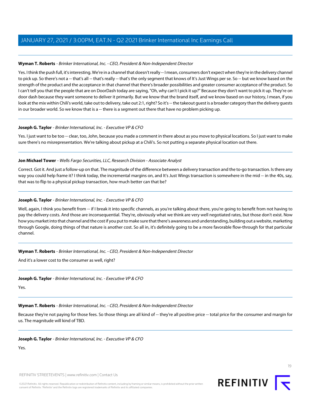Yes. I think the push full, it's interesting. We're in a channel that doesn't really -- I mean, consumers don't expect when they're in the delivery channel to pick up. So there's not a -- that's all -- that's really -- that's the only segment that knows of It's Just Wings per se. So -- but we know based on the strength of the product and the acceptance in that channel that there's broader possibilities and greater consumer acceptance of the product. So I can't tell you that the people that are on DoorDash today are saying, "Oh, why can't I pick it up?" Because they don't want to pick it up. They're on door dash because they want someone to deliver it primarily. But we know that the brand itself, and we know based on our history, I mean, if you look at the mix within Chili's world, take out to delivery, take out 2:1, right? So it's -- the takeout guest is a broader category than the delivery guests in our broader world. So we know that is a -- there is a segment out there that have no problem picking up.

# **Joseph G. Taylor** - Brinker International, Inc. - Executive VP & CFO

Yes. I just want to be too -- clear, too, John, because you made a comment in there about as you move to physical locations. So I just want to make sure there's no misrepresentation. We're talking about pickup at a Chili's. So not putting a separate physical location out there.

## **Jon Michael Tower** - Wells Fargo Securities, LLC, Research Division - Associate Analyst

Correct. Got it. And just a follow-up on that. The magnitude of the difference between a delivery transaction and the to-go transaction. Is there any way you could help frame it? I think today, the incremental margins on, and It's Just Wings transaction is somewhere in the mid -- in the 40s, say, that was to flip to a physical pickup transaction, how much better can that be?

# **Joseph G. Taylor** - Brinker International, Inc. - Executive VP & CFO

Well, again, I think you benefit from -- if I break it into specific channels, as you're talking about there, you're going to benefit from not having to pay the delivery costs. And those are inconsequential. They're, obviously what we think are very well negotiated rates, but those don't exist. Now how you market into that channel and the cost if you put to make sure that there's awareness and understanding, building out a website, marketing through Google, doing things of that nature is another cost. So all in, it's definitely going to be a more favorable flow-through for that particular channel.

## **Wyman T. Roberts** - Brinker International, Inc. - CEO, President & Non-Independent Director

And it's a lower cost to the consumer as well, right?

## **Joseph G. Taylor** - Brinker International, Inc. - Executive VP & CFO

Yes.

## **Wyman T. Roberts** - Brinker International, Inc. - CEO, President & Non-Independent Director

Because they're not paying for those fees. So those things are all kind of -- they're all positive price -- total price for the consumer and margin for us. The magnitude will kind of TBD.

## **Joseph G. Taylor** - Brinker International, Inc. - Executive VP & CFO

Yes.